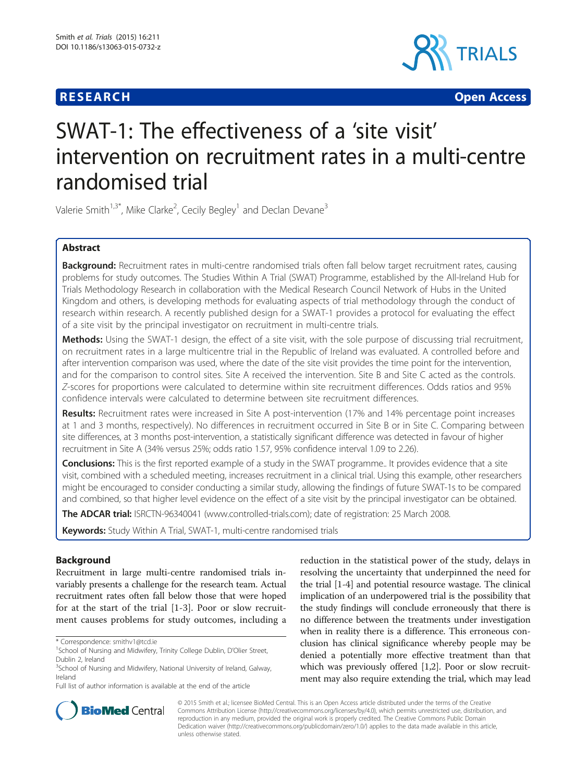# **RESEARCH CHEAR CHEAR CHEAR CHEAR CHEAR CHEAR CHEAR CHEAR CHEAR CHEAR CHEAR CHEAR CHEAR CHEAR CHEAR CHEAR CHEAR**



# SWAT-1: The effectiveness of a 'site visit' intervention on recruitment rates in a multi-centre randomised trial

Valerie Smith<sup>1,3\*</sup>, Mike Clarke<sup>2</sup>, Cecily Begley<sup>1</sup> and Declan Devane<sup>3</sup>

# Abstract

Background: Recruitment rates in multi-centre randomised trials often fall below target recruitment rates, causing problems for study outcomes. The Studies Within A Trial (SWAT) Programme, established by the All-Ireland Hub for Trials Methodology Research in collaboration with the Medical Research Council Network of Hubs in the United Kingdom and others, is developing methods for evaluating aspects of trial methodology through the conduct of research within research. A recently published design for a SWAT-1 provides a protocol for evaluating the effect of a site visit by the principal investigator on recruitment in multi-centre trials.

Methods: Using the SWAT-1 design, the effect of a site visit, with the sole purpose of discussing trial recruitment, on recruitment rates in a large multicentre trial in the Republic of Ireland was evaluated. A controlled before and after intervention comparison was used, where the date of the site visit provides the time point for the intervention, and for the comparison to control sites. Site A received the intervention. Site B and Site C acted as the controls. Z-scores for proportions were calculated to determine within site recruitment differences. Odds ratios and 95% confidence intervals were calculated to determine between site recruitment differences.

Results: Recruitment rates were increased in Site A post-intervention (17% and 14% percentage point increases at 1 and 3 months, respectively). No differences in recruitment occurred in Site B or in Site C. Comparing between site differences, at 3 months post-intervention, a statistically significant difference was detected in favour of higher recruitment in Site A (34% versus 25%; odds ratio 1.57, 95% confidence interval 1.09 to 2.26).

**Conclusions:** This is the first reported example of a study in the SWAT programme.. It provides evidence that a site visit, combined with a scheduled meeting, increases recruitment in a clinical trial. Using this example, other researchers might be encouraged to consider conducting a similar study, allowing the findings of future SWAT-1s to be compared and combined, so that higher level evidence on the effect of a site visit by the principal investigator can be obtained.

The ADCAR trial: ISRCTN-96340041 ([www.controlled-trials.com\)](http://www.controlled-trials.com); date of registration: 25 March 2008.

Keywords: Study Within A Trial, SWAT-1, multi-centre randomised trials

# Background

Recruitment in large multi-centre randomised trials invariably presents a challenge for the research team. Actual recruitment rates often fall below those that were hoped for at the start of the trial [[1-3\]](#page-6-0). Poor or slow recruitment causes problems for study outcomes, including a

reduction in the statistical power of the study, delays in resolving the uncertainty that underpinned the need for the trial [\[1](#page-6-0)-[4\]](#page-6-0) and potential resource wastage. The clinical implication of an underpowered trial is the possibility that the study findings will conclude erroneously that there is no difference between the treatments under investigation when in reality there is a difference. This erroneous conclusion has clinical significance whereby people may be denied a potentially more effective treatment than that which was previously offered [[1,2](#page-6-0)]. Poor or slow recruitment may also require extending the trial, which may lead



© 2015 Smith et al.; licensee BioMed Central. This is an Open Access article distributed under the terms of the Creative Commons Attribution License [\(http://creativecommons.org/licenses/by/4.0\)](http://creativecommons.org/licenses/by/4.0), which permits unrestricted use, distribution, and reproduction in any medium, provided the original work is properly credited. The Creative Commons Public Domain Dedication waiver [\(http://creativecommons.org/publicdomain/zero/1.0/](http://creativecommons.org/publicdomain/zero/1.0/)) applies to the data made available in this article, unless otherwise stated.

<sup>\*</sup> Correspondence: [smithv1@tcd.ie](mailto:smithv1@tcd.ie) <sup>1</sup>

<sup>&</sup>lt;sup>1</sup>School of Nursing and Midwifery, Trinity College Dublin, D'Olier Street, Dublin 2, Ireland

<sup>&</sup>lt;sup>3</sup>School of Nursing and Midwifery, National University of Ireland, Galway, Ireland

Full list of author information is available at the end of the article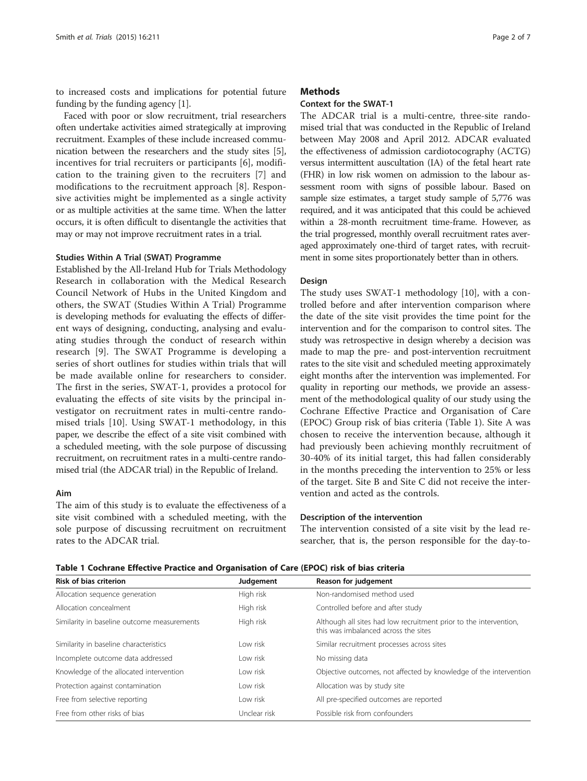to increased costs and implications for potential future funding by the funding agency [[1\]](#page-6-0).

Faced with poor or slow recruitment, trial researchers often undertake activities aimed strategically at improving recruitment. Examples of these include increased communication between the researchers and the study sites [[5](#page-6-0)], incentives for trial recruiters or participants [\[6](#page-6-0)], modification to the training given to the recruiters [\[7](#page-6-0)] and modifications to the recruitment approach [[8\]](#page-6-0). Responsive activities might be implemented as a single activity or as multiple activities at the same time. When the latter occurs, it is often difficult to disentangle the activities that may or may not improve recruitment rates in a trial.

#### Studies Within A Trial (SWAT) Programme

Established by the All-Ireland Hub for Trials Methodology Research in collaboration with the Medical Research Council Network of Hubs in the United Kingdom and others, the SWAT (Studies Within A Trial) Programme is developing methods for evaluating the effects of different ways of designing, conducting, analysing and evaluating studies through the conduct of research within research [[9\]](#page-6-0). The SWAT Programme is developing a series of short outlines for studies within trials that will be made available online for researchers to consider. The first in the series, SWAT-1, provides a protocol for evaluating the effects of site visits by the principal investigator on recruitment rates in multi-centre randomised trials [[10\]](#page-6-0). Using SWAT-1 methodology, in this paper, we describe the effect of a site visit combined with a scheduled meeting, with the sole purpose of discussing recruitment, on recruitment rates in a multi-centre randomised trial (the ADCAR trial) in the Republic of Ireland.

#### Aim

The aim of this study is to evaluate the effectiveness of a site visit combined with a scheduled meeting, with the sole purpose of discussing recruitment on recruitment rates to the ADCAR trial.

#### **Methods**

## Context for the SWAT-1

The ADCAR trial is a multi-centre, three-site randomised trial that was conducted in the Republic of Ireland between May 2008 and April 2012. ADCAR evaluated the effectiveness of admission cardiotocography (ACTG) versus intermittent auscultation (IA) of the fetal heart rate (FHR) in low risk women on admission to the labour assessment room with signs of possible labour. Based on sample size estimates, a target study sample of 5,776 was required, and it was anticipated that this could be achieved within a 28-month recruitment time-frame. However, as the trial progressed, monthly overall recruitment rates averaged approximately one-third of target rates, with recruitment in some sites proportionately better than in others.

#### Design

The study uses SWAT-1 methodology [\[10](#page-6-0)], with a controlled before and after intervention comparison where the date of the site visit provides the time point for the intervention and for the comparison to control sites. The study was retrospective in design whereby a decision was made to map the pre- and post-intervention recruitment rates to the site visit and scheduled meeting approximately eight months after the intervention was implemented. For quality in reporting our methods, we provide an assessment of the methodological quality of our study using the Cochrane Effective Practice and Organisation of Care (EPOC) Group risk of bias criteria (Table 1). Site A was chosen to receive the intervention because, although it had previously been achieving monthly recruitment of 30-40% of its initial target, this had fallen considerably in the months preceding the intervention to 25% or less of the target. Site B and Site C did not receive the intervention and acted as the controls.

#### Description of the intervention

The intervention consisted of a site visit by the lead researcher, that is, the person responsible for the day-to-

Table 1 Cochrane Effective Practice and Organisation of Care (EPOC) risk of bias criteria

| <b>Risk of bias criterion</b>               | Judgement    | Reason for judgement                                                                                      |
|---------------------------------------------|--------------|-----------------------------------------------------------------------------------------------------------|
| Allocation sequence generation              | High risk    | Non-randomised method used                                                                                |
| Allocation concealment                      | High risk    | Controlled before and after study                                                                         |
| Similarity in baseline outcome measurements | High risk    | Although all sites had low recruitment prior to the intervention,<br>this was imbalanced across the sites |
| Similarity in baseline characteristics      | I ow risk    | Similar recruitment processes across sites                                                                |
| Incomplete outcome data addressed           | I ow risk    | No missing data                                                                                           |
| Knowledge of the allocated intervention     | I ow risk    | Objective outcomes, not affected by knowledge of the intervention                                         |
| Protection against contamination            | Low risk     | Allocation was by study site                                                                              |
| Free from selective reporting               | I ow risk    | All pre-specified outcomes are reported                                                                   |
| Free from other risks of bias               | Unclear risk | Possible risk from confounders                                                                            |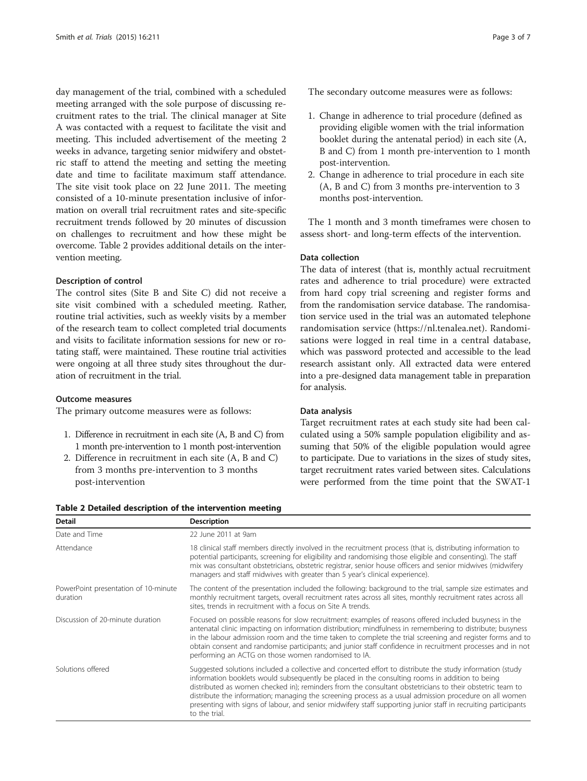day management of the trial, combined with a scheduled meeting arranged with the sole purpose of discussing recruitment rates to the trial. The clinical manager at Site A was contacted with a request to facilitate the visit and meeting. This included advertisement of the meeting 2 weeks in advance, targeting senior midwifery and obstetric staff to attend the meeting and setting the meeting date and time to facilitate maximum staff attendance. The site visit took place on 22 June 2011. The meeting consisted of a 10-minute presentation inclusive of information on overall trial recruitment rates and site-specific recruitment trends followed by 20 minutes of discussion on challenges to recruitment and how these might be overcome. Table 2 provides additional details on the intervention meeting.

#### Description of control

The control sites (Site B and Site C) did not receive a site visit combined with a scheduled meeting. Rather, routine trial activities, such as weekly visits by a member of the research team to collect completed trial documents and visits to facilitate information sessions for new or rotating staff, were maintained. These routine trial activities were ongoing at all three study sites throughout the duration of recruitment in the trial.

#### Outcome measures

The primary outcome measures were as follows:

- 1. Difference in recruitment in each site (A, B and C) from 1 month pre-intervention to 1 month post-intervention
- 2. Difference in recruitment in each site (A, B and C) from 3 months pre-intervention to 3 months post-intervention

The secondary outcome measures were as follows:

- 1. Change in adherence to trial procedure (defined as providing eligible women with the trial information booklet during the antenatal period) in each site (A, B and C) from 1 month pre-intervention to 1 month post-intervention.
- 2. Change in adherence to trial procedure in each site (A, B and C) from 3 months pre-intervention to 3 months post-intervention.

The 1 month and 3 month timeframes were chosen to assess short- and long-term effects of the intervention.

#### Data collection

The data of interest (that is, monthly actual recruitment rates and adherence to trial procedure) were extracted from hard copy trial screening and register forms and from the randomisation service database. The randomisation service used in the trial was an automated telephone randomisation service ([https://nl.tenalea.net\)](https://nl.tenalea.net). Randomisations were logged in real time in a central database, which was password protected and accessible to the lead research assistant only. All extracted data were entered into a pre-designed data management table in preparation for analysis.

#### Data analysis

Target recruitment rates at each study site had been calculated using a 50% sample population eligibility and assuming that 50% of the eligible population would agree to participate. Due to variations in the sizes of study sites, target recruitment rates varied between sites. Calculations were performed from the time point that the SWAT-1

| <b>Detail</b>                                    | <b>Description</b>                                                                                                                                                                                                                                                                                                                                                                                                                                                                                                                                                   |
|--------------------------------------------------|----------------------------------------------------------------------------------------------------------------------------------------------------------------------------------------------------------------------------------------------------------------------------------------------------------------------------------------------------------------------------------------------------------------------------------------------------------------------------------------------------------------------------------------------------------------------|
| Date and Time                                    | 22 June 2011 at 9am                                                                                                                                                                                                                                                                                                                                                                                                                                                                                                                                                  |
| Attendance                                       | 18 clinical staff members directly involved in the recruitment process (that is, distributing information to<br>potential participants, screening for eligibility and randomising those eligible and consenting). The staff<br>mix was consultant obstetricians, obstetric registrar, senior house officers and senior midwives (midwifery<br>managers and staff midwives with greater than 5 year's clinical experience).                                                                                                                                           |
| PowerPoint presentation of 10-minute<br>duration | The content of the presentation included the following: background to the trial, sample size estimates and<br>monthly recruitment targets, overall recruitment rates across all sites, monthly recruitment rates across all<br>sites, trends in recruitment with a focus on Site A trends.                                                                                                                                                                                                                                                                           |
| Discussion of 20-minute duration                 | Focused on possible reasons for slow recruitment: examples of reasons offered included busyness in the<br>antenatal clinic impacting on information distribution; mindfulness in remembering to distribute; busyness<br>in the labour admission room and the time taken to complete the trial screening and register forms and to<br>obtain consent and randomise participants; and junior staff confidence in recruitment processes and in not<br>performing an ACTG on those women randomised to IA.                                                               |
| Solutions offered                                | Suggested solutions included a collective and concerted effort to distribute the study information (study<br>information booklets would subsequently be placed in the consulting rooms in addition to being<br>distributed as women checked in); reminders from the consultant obstetricians to their obstetric team to<br>distribute the information; managing the screening process as a usual admission procedure on all women<br>presenting with signs of labour, and senior midwifery staff supporting junior staff in recruiting participants<br>to the trial. |

#### Table 2 Detailed description of the intervention meeting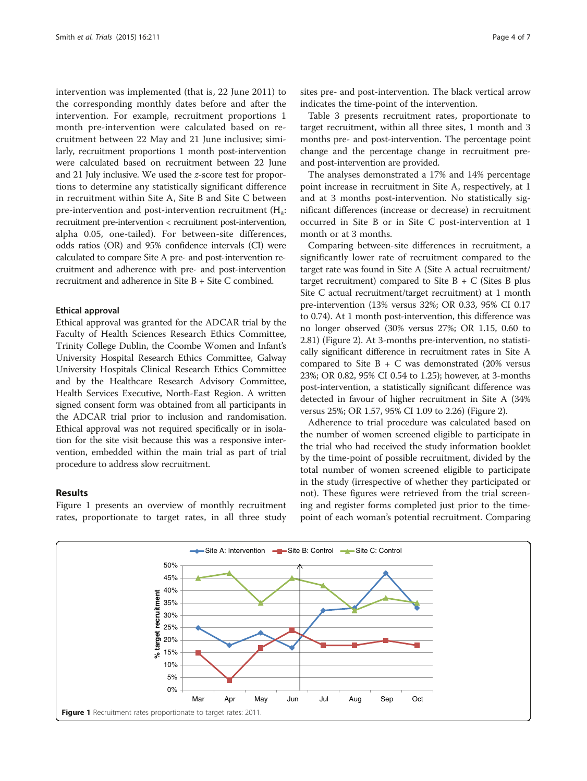<span id="page-3-0"></span>intervention was implemented (that is, 22 June 2011) to the corresponding monthly dates before and after the intervention. For example, recruitment proportions 1 month pre-intervention were calculated based on recruitment between 22 May and 21 June inclusive; similarly, recruitment proportions 1 month post-intervention were calculated based on recruitment between 22 June and 21 July inclusive. We used the z-score test for proportions to determine any statistically significant difference in recruitment within Site A, Site B and Site C between pre-intervention and post-intervention recruitment  $(H_a)$ : recruitment pre-intervention < recruitment post-intervention, alpha 0.05, one-tailed). For between-site differences, odds ratios (OR) and 95% confidence intervals (CI) were calculated to compare Site A pre- and post-intervention recruitment and adherence with pre- and post-intervention recruitment and adherence in Site B + Site C combined.

#### Ethical approval

Ethical approval was granted for the ADCAR trial by the Faculty of Health Sciences Research Ethics Committee, Trinity College Dublin, the Coombe Women and Infant's University Hospital Research Ethics Committee, Galway University Hospitals Clinical Research Ethics Committee and by the Healthcare Research Advisory Committee, Health Services Executive, North-East Region. A written signed consent form was obtained from all participants in the ADCAR trial prior to inclusion and randomisation. Ethical approval was not required specifically or in isolation for the site visit because this was a responsive intervention, embedded within the main trial as part of trial procedure to address slow recruitment.

## Results

Figure 1 presents an overview of monthly recruitment rates, proportionate to target rates, in all three study

sites pre- and post-intervention. The black vertical arrow indicates the time-point of the intervention.

Table [3](#page-4-0) presents recruitment rates, proportionate to target recruitment, within all three sites, 1 month and 3 months pre- and post-intervention. The percentage point change and the percentage change in recruitment preand post-intervention are provided.

The analyses demonstrated a 17% and 14% percentage point increase in recruitment in Site A, respectively, at 1 and at 3 months post-intervention. No statistically significant differences (increase or decrease) in recruitment occurred in Site B or in Site C post-intervention at 1 month or at 3 months.

Comparing between-site differences in recruitment, a significantly lower rate of recruitment compared to the target rate was found in Site A (Site A actual recruitment/ target recruitment) compared to Site  $B + C$  (Sites B plus Site C actual recruitment/target recruitment) at 1 month pre-intervention (13% versus 32%; OR 0.33, 95% CI 0.17 to 0.74). At 1 month post-intervention, this difference was no longer observed (30% versus 27%; OR 1.15, 0.60 to 2.81) (Figure [2](#page-4-0)). At 3-months pre-intervention, no statistically significant difference in recruitment rates in Site A compared to Site  $B + C$  was demonstrated (20% versus 23%; OR 0.82, 95% CI 0.54 to 1.25); however, at 3-months post-intervention, a statistically significant difference was detected in favour of higher recruitment in Site A (34% versus 25%; OR 1.57, 95% CI 1.09 to 2.26) (Figure [2](#page-4-0)).

Adherence to trial procedure was calculated based on the number of women screened eligible to participate in the trial who had received the study information booklet by the time-point of possible recruitment, divided by the total number of women screened eligible to participate in the study (irrespective of whether they participated or not). These figures were retrieved from the trial screening and register forms completed just prior to the timepoint of each woman's potential recruitment. Comparing

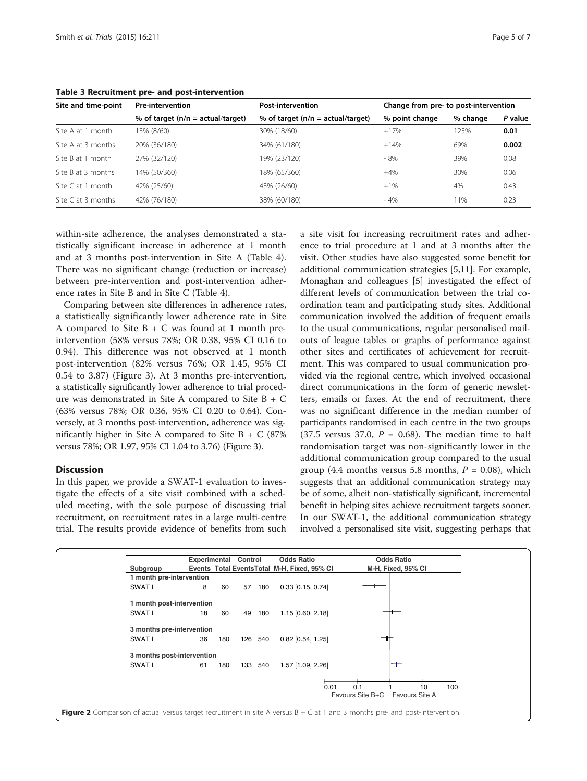| Site and time-point  | <b>Pre-intervention</b>             | <b>Post-intervention</b>            | Change from pre- to post-intervention |          |         |
|----------------------|-------------------------------------|-------------------------------------|---------------------------------------|----------|---------|
|                      | % of target $(n/n = actual/target)$ | % of target $(n/n = actual/target)$ | % point change                        | % change | P value |
| Site A at 1 month    | 13% (8/60)                          | 30% (18/60)                         | $+17%$                                | 125%     | 0.01    |
| Site A at 3 months   | 20% (36/180)                        | 34% (61/180)                        | $+14%$                                | 69%      | 0.002   |
| Site B at 1 month    | 27% (32/120)                        | 19% (23/120)                        | - 8%                                  | 39%      | 0.08    |
| Site B at 3 months   | 14% (50/360)                        | 18% (65/360)                        | $+4%$                                 | 30%      | 0.06    |
| Site $C$ at 1 month  | 42% (25/60)                         | 43% (26/60)                         | $+1\%$                                | 4%       | 0.43    |
| Site $C$ at 3 months | 42% (76/180)                        | 38% (60/180)                        | $-4%$                                 | 11%      | 0.23    |

<span id="page-4-0"></span>Table 3 Recruitment pre- and post-intervention

within-site adherence, the analyses demonstrated a statistically significant increase in adherence at 1 month and at 3 months post-intervention in Site A (Table [4](#page-5-0)). There was no significant change (reduction or increase) between pre-intervention and post-intervention adherence rates in Site B and in Site C (Table [4](#page-5-0)).

Comparing between site differences in adherence rates, a statistically significantly lower adherence rate in Site A compared to Site  $B + C$  was found at 1 month preintervention (58% versus 78%; OR 0.38, 95% CI 0.16 to 0.94). This difference was not observed at 1 month post-intervention (82% versus 76%; OR 1.45, 95% CI 0.54 to 3.87) (Figure [3\)](#page-5-0). At 3 months pre-intervention, a statistically significantly lower adherence to trial procedure was demonstrated in Site A compared to Site B + C (63% versus 78%; OR 0.36, 95% CI 0.20 to 0.64). Conversely, at 3 months post-intervention, adherence was significantly higher in Site A compared to Site  $B + C$  (87%) versus 78%; OR 1.97, 95% CI 1.04 to 3.76) (Figure [3](#page-5-0)).

# Discussion

In this paper, we provide a SWAT-1 evaluation to investigate the effects of a site visit combined with a scheduled meeting, with the sole purpose of discussing trial recruitment, on recruitment rates in a large multi-centre trial. The results provide evidence of benefits from such

a site visit for increasing recruitment rates and adherence to trial procedure at 1 and at 3 months after the visit. Other studies have also suggested some benefit for additional communication strategies [\[5,11\]](#page-6-0). For example, Monaghan and colleagues [[5\]](#page-6-0) investigated the effect of different levels of communication between the trial coordination team and participating study sites. Additional communication involved the addition of frequent emails to the usual communications, regular personalised mailouts of league tables or graphs of performance against other sites and certificates of achievement for recruitment. This was compared to usual communication provided via the regional centre, which involved occasional direct communications in the form of generic newsletters, emails or faxes. At the end of recruitment, there was no significant difference in the median number of participants randomised in each centre in the two groups (37.5 versus 37.0,  $P = 0.68$ ). The median time to half randomisation target was non-significantly lower in the additional communication group compared to the usual group (4.4 months versus 5.8 months,  $P = 0.08$ ), which suggests that an additional communication strategy may be of some, albeit non-statistically significant, incremental benefit in helping sites achieve recruitment targets sooner. In our SWAT-1, the additional communication strategy involved a personalised site visit, suggesting perhaps that

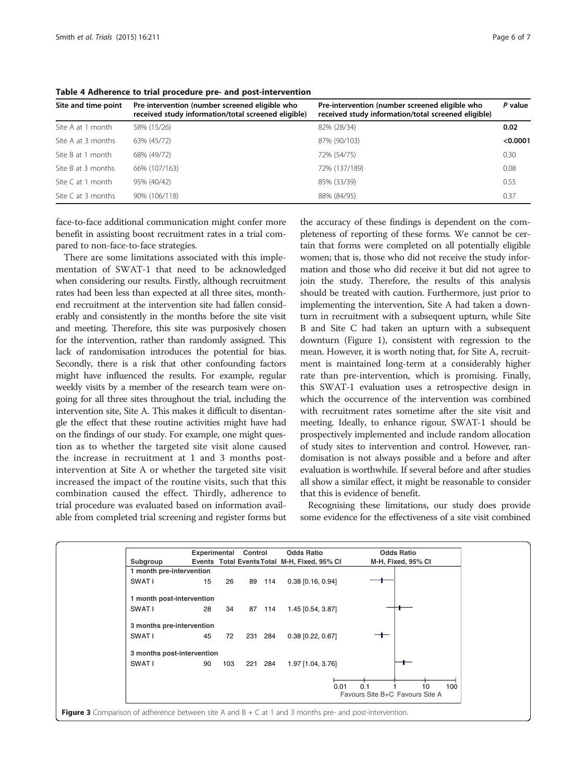| Table + Addenture to that procedure pre-and post intervention |                                                                                                       |                                                                                                       |          |  |  |  |  |
|---------------------------------------------------------------|-------------------------------------------------------------------------------------------------------|-------------------------------------------------------------------------------------------------------|----------|--|--|--|--|
| Site and time-point                                           | Pre-intervention (number screened eligible who<br>received study information/total screened eligible) | Pre-intervention (number screened eligible who<br>received study information/total screened eligible) | P value  |  |  |  |  |
| Site A at 1 month                                             | 58% (15/26)                                                                                           | 82% (28/34)                                                                                           | 0.02     |  |  |  |  |
| Site A at 3 months                                            | 63% (45/72)                                                                                           | 87% (90/103)                                                                                          | < 0.0001 |  |  |  |  |
| Site B at 1 month                                             | 68% (49/72)                                                                                           | 72% (54/75)                                                                                           | 0.30     |  |  |  |  |
| Site B at 3 months                                            | 66% (107/163)                                                                                         | 72% (137/189)                                                                                         | 0.08     |  |  |  |  |
| Site $C$ at 1 month                                           | 95% (40/42)                                                                                           | 85% (33/39)                                                                                           | 0.55     |  |  |  |  |
| Site $C$ at 3 months                                          | 90% (106/118)                                                                                         | 88% (84/95)                                                                                           | 0.37     |  |  |  |  |

<span id="page-5-0"></span>Table 4 Adherence to trial procedure pre- and post-intervention

face-to-face additional communication might confer more benefit in assisting boost recruitment rates in a trial compared to non-face-to-face strategies.

There are some limitations associated with this implementation of SWAT-1 that need to be acknowledged when considering our results. Firstly, although recruitment rates had been less than expected at all three sites, monthend recruitment at the intervention site had fallen considerably and consistently in the months before the site visit and meeting. Therefore, this site was purposively chosen for the intervention, rather than randomly assigned. This lack of randomisation introduces the potential for bias. Secondly, there is a risk that other confounding factors might have influenced the results. For example, regular weekly visits by a member of the research team were ongoing for all three sites throughout the trial, including the intervention site, Site A. This makes it difficult to disentangle the effect that these routine activities might have had on the findings of our study. For example, one might question as to whether the targeted site visit alone caused the increase in recruitment at 1 and 3 months postintervention at Site A or whether the targeted site visit increased the impact of the routine visits, such that this combination caused the effect. Thirdly, adherence to trial procedure was evaluated based on information available from completed trial screening and register forms but

the accuracy of these findings is dependent on the completeness of reporting of these forms. We cannot be certain that forms were completed on all potentially eligible women; that is, those who did not receive the study information and those who did receive it but did not agree to join the study. Therefore, the results of this analysis should be treated with caution. Furthermore, just prior to implementing the intervention, Site A had taken a downturn in recruitment with a subsequent upturn, while Site B and Site C had taken an upturn with a subsequent downturn (Figure [1\)](#page-3-0), consistent with regression to the mean. However, it is worth noting that, for Site A, recruitment is maintained long-term at a considerably higher rate than pre-intervention, which is promising. Finally, this SWAT-1 evaluation uses a retrospective design in which the occurrence of the intervention was combined with recruitment rates sometime after the site visit and meeting. Ideally, to enhance rigour, SWAT-1 should be prospectively implemented and include random allocation of study sites to intervention and control. However, randomisation is not always possible and a before and after evaluation is worthwhile. If several before and after studies all show a similar effect, it might be reasonable to consider that this is evidence of benefit.

Recognising these limitations, our study does provide some evidence for the effectiveness of a site visit combined